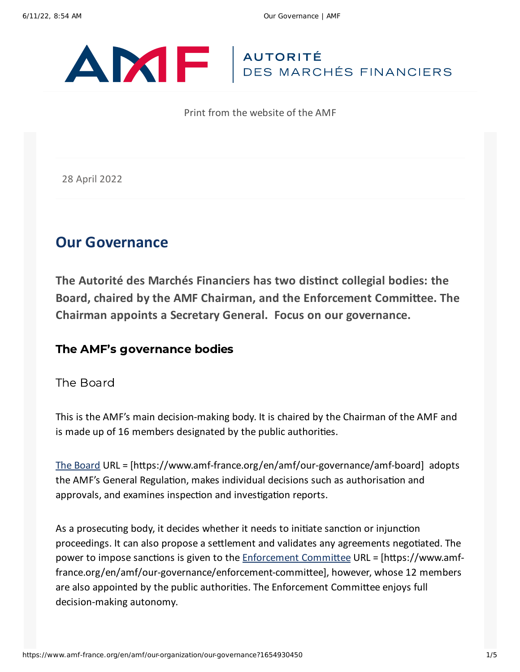

Print from the website of the AMF

28 April 2022

# **Our Governance**

**The Autorité des Marchés Financiers has two distinct collegial bodies: the Board, chaired by the AMF Chairman, and the Enforcement Committee. The Chairman appoints a Secretary General. Focus on our governance.**

### The AMF's governance bodies

### The Board

This is the AMF's main decision-making body. It is chaired by the Chairman of the AMF and is made up of 16 members designated by the public authorities.

The [Board](https://www.amf-france.org/en/amf/our-governance/amf-board) URL = [https://www.amf-france.org/en/amf/our-governance/amf-board] adopts the AMF's General Regulation, makes individual decisions such as authorisation and approvals, and examines inspection and investigation reports.

As a prosecuting body, it decides whether it needs to initiate sanction or injunction proceedings. It can also propose a settlement and validates any agreements negotiated. The power to impose sanctions is given to the **[Enforcement](https://www.amf-france.org/en/amf/our-governance/enforcement-committee) Committee URL** = [https://www.amffrance.org/en/amf/our-governance/enforcement-committee], however, whose 12 members are also appointed by the public authorities. The Enforcement Committee enjoys full decision-making autonomy.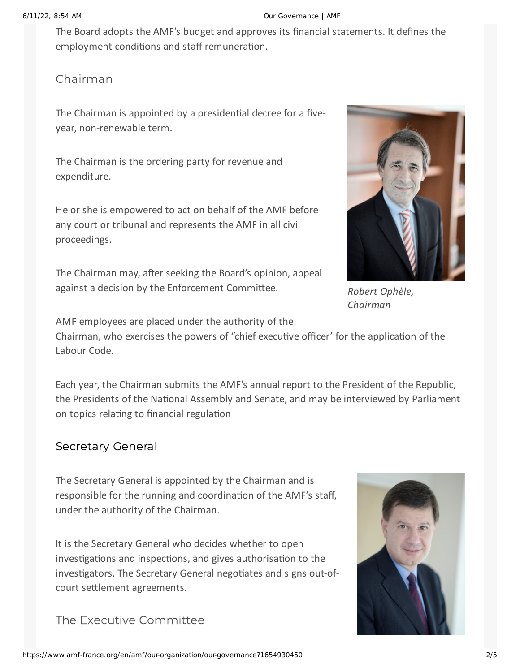#### 6/11/22, 8:54 AM Our Governance | AMF

The Board adopts the AMF's budget and approves its financial statements. It defines the employment conditions and staff remuneration.

# Chairman

The Chairman is appointed by a presidential decree for a fiveyear, non-renewable term.

The Chairman is the ordering party for revenue and expenditure.

He or she is empowered to act on behalf of the AMF before any court or tribunal and represents the AMF in all civil proceedings.

The Chairman may, after seeking the Board's opinion, appeal against a decision by the Enforcement Committee.



*Robert Ophèle, Chairman*

AMF employees are placed under the authority of the Chairman, who exercises the powers of "chief executive officer' for the application of the Labour Code.

Each year, the Chairman submits the AMF's annual report to the President of the Republic, the Presidents of the National Assembly and Senate, and may be interviewed by Parliament on topics relating to financial regulation

# Secretary General

The Secretary General is appointed by the Chairman and is responsible for the running and coordination of the AMF's staff, under the authority of the Chairman.

It is the Secretary General who decides whether to open investigations and inspections, and gives authorisation to the investigators. The Secretary General negotiates and signs out-ofcourt settlement agreements.

The Executive Committee

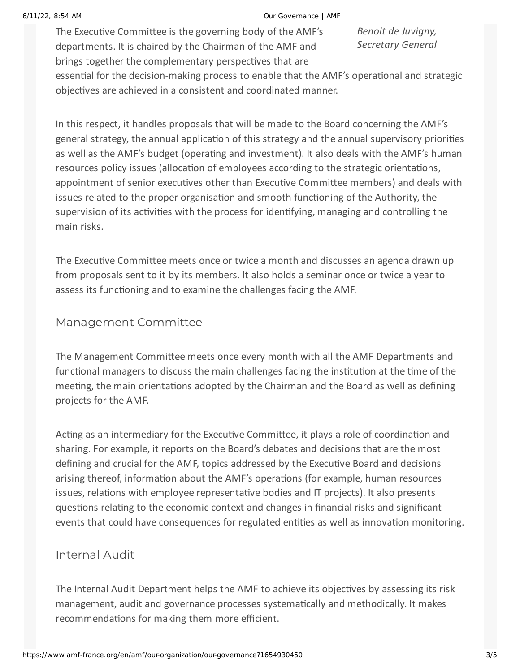#### 6/11/22, 8:54 AM Our Governance | AMF

The Executive Committee is the governing body of the AMF's departments. It is chaired by the Chairman of the AMF and brings together the complementary perspectives that are

*Benoit de Juvigny, Secretary General*

essential for the decision-making process to enable that the AMF's operational and strategic objectives are achieved in a consistent and coordinated manner.

In this respect, it handles proposals that will be made to the Board concerning the AMF's general strategy, the annual application of this strategy and the annual supervisory priorities as well as the AMF's budget (operating and investment). It also deals with the AMF's human resources policy issues (allocation of employees according to the strategic orientations, appointment of senior executives other than Executive Committee members) and deals with issues related to the proper organisation and smooth functioning of the Authority, the supervision of its activities with the process for identifying, managing and controlling the main risks.

The Executive Committee meets once or twice a month and discusses an agenda drawn up from proposals sent to it by its members. It also holds a seminar once or twice a year to assess its functioning and to examine the challenges facing the AMF.

### Management Committee

The Management Committee meets once every month with all the AMF Departments and functional managers to discuss the main challenges facing the institution at the time of the meeting, the main orientations adopted by the Chairman and the Board as well as defining projects for the AMF.

Acting as an intermediary for the Executive Committee, it plays a role of coordination and sharing. For example, it reports on the Board's debates and decisions that are the most defining and crucial for the AMF, topics addressed by the Executive Board and decisions arising thereof, information about the AMF's operations (for example, human resources issues, relations with employee representative bodies and IT projects). It also presents questions relating to the economic context and changes in financial risks and significant events that could have consequences for regulated entities as well as innovation monitoring.

## Internal Audit

The Internal Audit Department helps the AMF to achieve its objectives by assessing its risk management, audit and governance processes systematically and methodically. It makes recommendations for making them more efficient.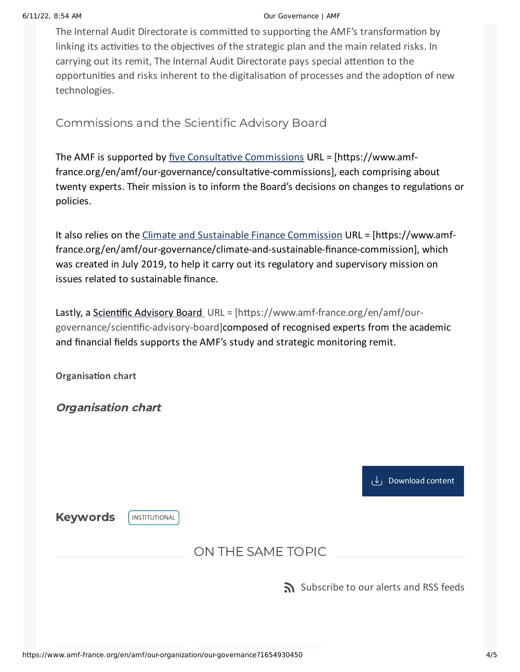#### 6/11/22, 8:54 AM Our Governance | AMF

The Internal Audit Directorate is committed to supporting the AMF's transformation by linking its activities to the objectives of the strategic plan and the main related risks. In carrying out its remit, The Internal Audit Directorate pays special attention to the opportunities and risks inherent to the digitalisation of processes and the adoption of new technologies.

Commissions and the Scientific Advisory Board

The AMF is supported by five Consultative [Commissions](https://www.amf-france.org/en/amf/our-governance/consultative-commissions) URL = [https://www.amffrance.org/en/amf/our-governance/consultative-commissions], each comprising about twenty experts. Their mission is to inform the Board's decisions on changes to regulations or policies.

It also relies on the Climate and Sustainable Finance [Commission](https://www.amf-france.org/en/amf/our-governance/climate-and-sustainable-finance-commission) URL = [https://www.amffrance.org/en/amf/our-governance/climate-and-sustainable-finance-commission], which was created in July 2019, to help it carry out its regulatory and supervisory mission on issues related to sustainable finance.

Lastly, a [Scientific](https://www.amf-france.org/en/amf/our-governance/scientific-advisory-board) Advisory Board URL = [https://www.amf-france.org/en/amf/ourgovernance/scientific-advisory-board]composed of recognised experts from the academic and financial fields supports the AMF's study and strategic monitoring remit.

**Organisation chart**

Organisation chart

[Download](https://www.amf-france.org/sites/default/files/private/2022-04/Organigramme%20g%C3%A9n%C3%A9ral%20anglais%20Avril22.pdf) content

Keywords **[INSTITUTIONAL](https://www.amf-france.org/en/recherche/resultat?form=global&key=Institutional&sort%5Bfield%5D=date&sort%5Bsort%5D=DESC)** 

ON THE SAME TOPIC

[Subscribe](https://www.amf-france.org/en/subscriptions-rss-feeds) to our alerts and RSS feeds